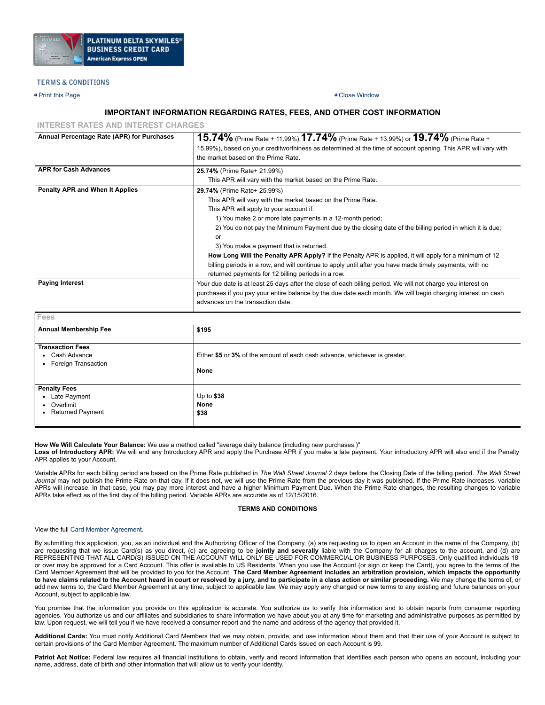

# **TERMS & CONDITIONS**

• Print this [Page](javascript:window.print()) Close [Window](javascript:window.close())

# **IMPORTANT INFORMATION REGARDING RATES, FEES, AND OTHER COST INFORMATION**

| <b>INTEREST RATES AND INTEREST CHARGES</b> |                                                                                                                                                                                                                                                                                                                                                                                                                                                                                                                                                                                                                                          |  |  |  |  |
|--------------------------------------------|------------------------------------------------------------------------------------------------------------------------------------------------------------------------------------------------------------------------------------------------------------------------------------------------------------------------------------------------------------------------------------------------------------------------------------------------------------------------------------------------------------------------------------------------------------------------------------------------------------------------------------------|--|--|--|--|
| Annual Percentage Rate (APR) for Purchases | 15.74% (Prime Rate + 11.99%), 17.74% (Prime Rate + 13.99%) or 19.74% (Prime Rate +<br>15.99%), based on your creditworthiness as determined at the time of account opening. This APR will vary with<br>the market based on the Prime Rate.                                                                                                                                                                                                                                                                                                                                                                                               |  |  |  |  |
| <b>APR for Cash Advances</b>               | 25.74% (Prime Rate+ 21.99%)<br>This APR will vary with the market based on the Prime Rate.                                                                                                                                                                                                                                                                                                                                                                                                                                                                                                                                               |  |  |  |  |
| Penalty APR and When It Applies            | 29.74% (Prime Rate+ 25.99%)<br>This APR will vary with the market based on the Prime Rate.<br>This APR will apply to your account if:<br>1) You make 2 or more late payments in a 12-month period;<br>2) You do not pay the Minimum Payment due by the closing date of the billing period in which it is due;<br>or<br>3) You make a payment that is returned.<br>How Long Will the Penalty APR Apply? If the Penalty APR is applied, it will apply for a minimum of 12<br>billing periods in a row, and will continue to apply until after you have made timely payments, with no<br>returned payments for 12 billing periods in a row. |  |  |  |  |
| <b>Paying Interest</b>                     | Your due date is at least 25 days after the close of each billing period. We will not charge you interest on<br>purchases if you pay your entire balance by the due date each month. We will begin charging interest on cash<br>advances on the transaction date.                                                                                                                                                                                                                                                                                                                                                                        |  |  |  |  |

**Fees**

| <b>Annual Membership Fee</b>                                                             |                                                                                    |  |  |  |  |
|------------------------------------------------------------------------------------------|------------------------------------------------------------------------------------|--|--|--|--|
|                                                                                          | \$195                                                                              |  |  |  |  |
| <b>Transaction Fees</b><br>Cash Advance<br>Foreign Transaction                           | Either \$5 or 3% of the amount of each cash advance, whichever is greater.<br>None |  |  |  |  |
| <b>Penalty Fees</b><br>Late Payment<br>$\bullet$<br>Overlimit<br><b>Returned Payment</b> | Up to $$38$<br>None<br>\$38                                                        |  |  |  |  |

**How We Will Calculate Your Balance:** We use a method called "average daily balance (including new purchases.)"

**Loss of Introductory APR:** We will end any Introductory APR and apply the Purchase APR if you make a late payment. Your introductory APR will also end if the Penalty APR applies to your Account.

Variable APRs for each billing period are based on the Prime Rate published in *The Wall Street Journal* 2 days before the Closing Date of the billing period. *The Wall Street* Journal may not publish the Prime Rate on that day. If it does not, we will use the Prime Rate from the previous day it was published. If the Prime Rate increases, variable APRs will increase. In that case, you may pay more interest and have a higher Minimum Payment Due. When the Prime Rate changes, the resulting changes to variable APRs take effect as of the first day of the billing period. Variable APRs are accurate as of 12/15/2016.

# **TERMS AND CONDITIONS**

## View the full Card Member [Agreement](https://www.americanexpress.com/us/content/cardmember-agreements/all-us.html).

By submitting this application, you, as an individual and the Authorizing Officer of the Company, (a) are requesting us to open an Account in the name of the Company, (b) are requesting that we issue Card(s) as you direct, (c) are agreeing to be **jointly and severally** liable with the Company for all charges to the account, and (d) are REPRESENTING THAT ALL CARD(S) ISSUED ON THE ACCOUNT WILL ONLY BE USED FOR COMMERCIAL OR BUSINESS PURPOSES. Only qualified individuals 18 or over may be approved for a Card Account. This offer is available to US Residents. When you use the Account (or sign or keep the Card), you agree to the terms of the Card Member Agreement that will be provided to you for the Account. The Card Member Agreement includes an arbitration provision, which impacts the opportunity to have claims related to the Account heard in court or resolved by a jury, and to participate in a class action or similar proceeding. We may change the terms of, or add new terms to, the Card Member Agreement at any time, subject to applicable law. We may apply any changed or new terms to any existing and future balances on your Account, subject to applicable law.

You promise that the information you provide on this application is accurate. You authorize us to verify this information and to obtain reports from consumer reporting agencies. You authorize us and our affiliates and subsidiaries to share information we have about you at any time for marketing and administrative purposes as permitted by law. Upon request, we will tell you if we have received a consumer report and the name and address of the agency that provided it.

**Additional Cards:** You must notify Additional Card Members that we may obtain, provide, and use information about them and that their use of your Account is subject to certain provisions of the Card Member Agreement. The maximum number of Additional Cards issued on each Account is 99.

Patriot Act Notice: Federal law requires all financial institutions to obtain, verify and record information that identifies each person who opens an account, including your name, address, date of birth and other information that will allow us to verify your identity.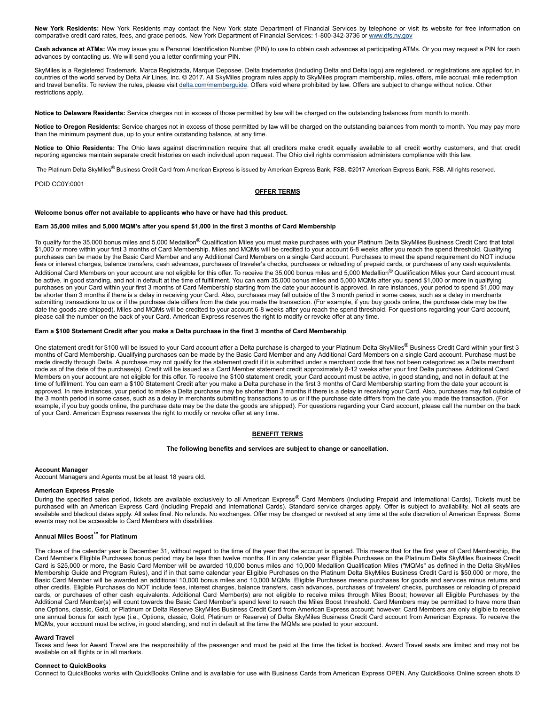**New York Residents:** New York Residents may contact the New York state Department of Financial Services by telephone or visit its website for free information on comparative credit card rates, fees, and grace periods. New York Department of Financial Services: 1-800-342-3736 or [www.dfs.ny.gov](http://www.dfs.ny.gov/)

**Cash advance at ATMs:** We may issue you a Personal Identification Number (PIN) to use to obtain cash advances at participating ATMs. Or you may request a PIN for cash advances by contacting us. We will send you a letter confirming your PIN.

SkyMiles is a Registered Trademark, Marca Registrada, Marque Deposee. Delta trademarks (including Delta and Delta logo) are registered, or registrations are applied for, in countries of the world served by Delta Air Lines, Inc. © 2017. All SkyMiles program rules apply to SkyMiles program membership, miles, offers, mile accrual, mile redemption and travel benefits. To review the rules, please visit [delta.com/memberguide.](http://www.delta.com/memberguide) Offers void where prohibited by law. Offers are subject to change without notice. Other restrictions apply.

**Notice to Delaware Residents:** Service charges not in excess of those permitted by law will be charged on the outstanding balances from month to month.

**Notice to Oregon Residents:** Service charges not in excess of those permitted by law will be charged on the outstanding balances from month to month. You may pay more than the minimum payment due, up to your entire outstanding balance, at any time.

Notice to Ohio Residents: The Ohio laws against discrimination require that all creditors make credit equally available to all credit worthy customers, and that credit reporting agencies maintain separate credit histories on each individual upon request. The Ohio civil rights commission administers compliance with this law.

The Platinum Delta SkyMiles® Business Credit Card from American Express is issued by American Express Bank, FSB. ©2017 American Express Bank, FSB. All rights reserved.

# POID CC0Y:0001

# **OFFER TERMS**

#### **Welcome bonus offer not available to applicants who have or have had this product.**

# **Earn 35,000 miles and 5,000 MQM's after you spend \$1,000 in the first 3 months of Card Membership**

To qualify for the 35,000 bonus miles and 5,000 Medallion<sup>®</sup> Qualification Miles you must make purchases with your Platinum Delta SkyMiles Business Credit Card that total \$1,000 or more within your first 3 months of Card Membership. Miles and MQMs will be credited to your account 6-8 weeks after you reach the spend threshold. Qualifying purchases can be made by the Basic Card Member and any Additional Card Members on a single Card account. Purchases to meet the spend requirement do NOT include fees or interest charges, balance transfers, cash advances, purchases of traveler's checks, purchases or reloading of prepaid cards, or purchases of any cash equivalents. Additional Card Members on your account are not eligible for this offer. To receive the 35,000 bonus miles and 5,000 Medallion® Qualification Miles your Card account must be active, in good standing, and not in default at the time of fulfillment. You can earn 35,000 bonus miles and 5,000 MQMs after you spend \$1,000 or more in qualifying purchases on your Card within your first 3 months of Card Membership starting from the date your account is approved. In rare instances, your period to spend \$1,000 may be shorter than 3 months if there is a delay in receiving your Card. Also, purchases may fall outside of the 3 month period in some cases, such as a delay in merchants submitting transactions to us or if the purchase date differs from the date you made the transaction. (For example, if you buy goods online, the purchase date may be the date the goods are shipped). Miles and MQMs will be credited to your account 6-8 weeks after you reach the spend threshold. For questions regarding your Card account, please call the number on the back of your Card. American Express reserves the right to modify or revoke offer at any time.

# Earn a \$100 Statement Credit after you make a Delta purchase in the first 3 months of Card Membership

One statement credit for \$100 will be issued to your Card account after a Delta purchase is charged to your Platinum Delta SkyMiles® Business Credit Card within your first 3 months of Card Membership. Qualifying purchases can be made by the Basic Card Member and any Additional Card Members on a single Card account. Purchase must be made directly through Delta. A purchase may not qualify for the statement credit if it is submitted under a merchant code that has not been categorized as a Delta merchant code as of the date of the purchase(s). Credit will be issued as a Card Member statement credit approximately 8-12 weeks after your first Delta purchase. Additional Card Members on your account are not eligible for this offer. To receive the \$100 statement credit, your Card account must be active, in good standing, and not in default at the time of fulfillment. You can earn a \$100 Statement Credit after you make a Delta purchase in the first 3 months of Card Membership starting from the date your account is approved. In rare instances, your period to make a Delta purchase may be shorter than 3 months if there is a delay in receiving your Card. Also, purchases may fall outside of the 3 month period in some cases, such as a delay in merchants submitting transactions to us or if the purchase date differs from the date you made the transaction. (For example, if you buy goods online, the purchase date may be the date the goods are shipped). For questions regarding your Card account, please call the number on the back of your Card. American Express reserves the right to modify or revoke offer at any time.

# **BENEFIT TERMS**

# **The following benefits and services are subject to change or cancellation.**

#### **Account Manager**

Account Managers and Agents must be at least 18 years old.

#### **American Express Presale**

During the specified sales period, tickets are available exclusively to all American Express® Card Members (including Prepaid and International Cards). Tickets must be purchased with an American Express Card (including Prepaid and International Cards). Standard service charges apply. Offer is subject to availability. Not all seats are available and blackout dates apply. All sales final. No refunds. No exchanges. Offer may be changed or revoked at any time at the sole discretion of American Express. Some events may not be accessible to Card Members with disabilities.

#### **Annual Miles Boost℠ for Platinum**

The close of the calendar year is December 31, without regard to the time of the year that the account is opened. This means that for the first year of Card Membership, the Card Member's Eligible Purchases bonus period may be less than twelve months. If in any calendar year Eligible Purchases on the Platinum Delta SkyMiles Business Credit Card is \$25,000 or more, the Basic Card Member will be awarded 10,000 bonus miles and 10,000 Medallion Qualification Miles ("MQMs" as defined in the Delta SkyMiles Membership Guide and Program Rules), and if in that same calendar year Eligible Purchases on the Platinum Delta SkyMiles Business Credit Card is \$50,000 or more, the Basic Card Member will be awarded an additional 10,000 bonus miles and 10,000 MQMs. Eligible Purchases means purchases for goods and services minus returns and other credits. Eligible Purchases do NOT include fees, interest charges, balance transfers, cash advances, purchases of travelers' checks, purchases or reloading of prepaid cards, or purchases of other cash equivalents. Additional Card Member(s) are not eligible to receive miles through Miles Boost; however all Eligible Purchases by the Additional Card Member(s) will count towards the Basic Card Member's spend level to reach the Miles Boost threshold. Card Members may be permitted to have more than one Options, classic, Gold, or Platinum or Delta Reserve SkyMiles Business Credit Card from American Express account; however, Card Members are only eligible to receive one annual bonus for each type (i.e., Options, classic, Gold, Platinum or Reserve) of Delta SkyMiles Business Credit Card account from American Express. To receive the MQMs, your account must be active, in good standing, and not in default at the time the MQMs are posted to your account.

### **Award Travel**

Taxes and fees for Award Travel are the responsibility of the passenger and must be paid at the time the ticket is booked. Award Travel seats are limited and may not be available on all flights or in all markets.

#### **Connect to QuickBooks**

Connect to QuickBooks works with QuickBooks Online and is available for use with Business Cards from American Express OPEN. Any QuickBooks Online screen shots ©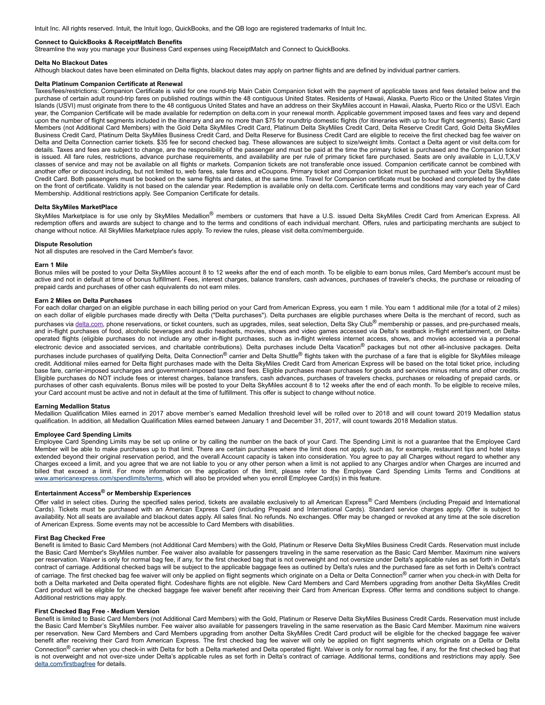Intuit Inc. All rights reserved. Intuit, the Intuit logo, QuickBooks, and the QB logo are registered trademarks of Intuit Inc.

### **Connect to QuickBooks & ReceiptMatch Benefits**

Streamline the way you manage your Business Card expenses using ReceiptMatch and Connect to QuickBooks.

#### **Delta No Blackout Dates**

Although blackout dates have been eliminated on Delta flights, blackout dates may apply on partner flights and are defined by individual partner carriers.

#### **Delta Platinum Companion Certificate at Renewal**

Taxes/fees/restrictions: Companion Certificate is valid for one round-trip Main Cabin Companion ticket with the payment of applicable taxes and fees detailed below and the purchase of certain adult round-trip fares on published routings within the 48 contiguous United States. Residents of Hawaii, Alaska, Puerto Rico or the United States Virgin Islands (USVI) must originate from there to the 48 contiguous United States and have an address on their SkyMiles account in Hawaii, Alaska, Puerto Rico or the USVI. Each year, the Companion Certificate will be made available for redemption on delta.com in your renewal month. Applicable government imposed taxes and fees vary and depend upon the number of flight segments included in the itinerary and are no more than \$75 for roundtrip domestic flights (for itineraries with up to four flight segments). Basic Card Members (not Additional Card Members) with the Gold Delta SkyMiles Credit Card, Platinum Delta SkyMiles Credit Card, Delta Reserve Credit Card, Gold Delta SkyMiles Business Credit Card, Platinum Delta SkyMiles Business Credit Card, and Delta Reserve for Business Credit Card are eligible to receive the first checked bag fee waiver on Delta and Delta Connection carrier tickets. \$35 fee for second checked bag. These allowances are subject to size/weight limits. Contact a Delta agent or visit delta.com for details. Taxes and fees are subject to change, are the responsibility of the passenger and must be paid at the time the primary ticket is purchased and the Companion ticket is issued. All fare rules, restrictions, advance purchase requirements, and availability are per rule of primary ticket fare purchased. Seats are only available in L,U,T,X,V classes of service and may not be available on all flights or markets. Companion tickets are not transferable once issued. Companion certificate cannot be combined with another offer or discount including, but not limited to, web fares, sale fares and eCoupons. Primary ticket and Companion ticket must be purchased with your Delta SkyMiles Credit Card. Both passengers must be booked on the same flights and dates, at the same time. Travel for Companion certificate must be booked and completed by the date on the front of certificate. Validity is not based on the calendar year. Redemption is available only on delta.com. Certificate terms and conditions may vary each year of Card Membership. Additional restrictions apply. See Companion Certificate for details.

# **Delta SkyMiles MarketPlace**

SkyMiles Marketplace is for use only by SkyMiles Medallion<sup>®</sup> members or customers that have a U.S. issued Delta SkyMiles Credit Card from American Express. All redemption offers and awards are subject to change and to the terms and conditions of each individual merchant. Offers, rules and participating merchants are subject to change without notice. All SkyMiles Marketplace rules apply. To review the rules, please visit delta.com/memberguide.

#### **Dispute Resolution**

Not all disputes are resolved in the Card Member's favor.

#### **Earn 1 Mile**

Bonus miles will be posted to your Delta SkyMiles account 8 to 12 weeks after the end of each month. To be eligible to earn bonus miles, Card Member's account must be active and not in default at time of bonus fulfillment. Fees, interest charges, balance transfers, cash advances, purchases of traveler's checks, the purchase or reloading of prepaid cards and purchases of other cash equivalents do not earn miles.

#### **Earn 2 Miles on Delta Purchases**

For each dollar charged on an eligible purchase in each billing period on your Card from American Express, you earn 1 mile. You earn 1 additional mile (for a total of 2 miles) on each dollar of eligible purchases made directly with Delta ("Delta purchases"). Delta purchases are eligible purchases where Delta is the merchant of record, such as purchases via [delta.com,](http://www.delta.com/) phone reservations, or ticket counters, such as upgrades, miles, seat selection, Delta Sky Club<sup>®</sup> membership or passes, and pre-purchased meals, and in-flight purchases of food, alcoholic beverages and audio headsets, movies, shows and video games accessed via Delta's seatback in-flight entertainment, on Deltaoperated flights (eligible purchases do not include any other in-flight purchases, such as in-flight wireless internet access, shows, and movies accessed via a personal electronic device and associated services, and charitable contributions). Delta purchases include Delta Vacation<sup>®</sup> packages but not other all-inclusive packages. Delta purchases include purchases of qualifying Delta, Delta Connection<sup>®</sup> carrier and Delta Shuttle<sup>®</sup> flights taken with the purchase of a fare that is eligible for SkyMiles mileage credit. Additional miles earned for Delta flight purchases made with the Delta SkyMiles Credit Card from American Express will be based on the total ticket price, including base fare, carrier-imposed surcharges and government-imposed taxes and fees. Eligible purchases mean purchases for goods and services minus returns and other credits. Eligible purchases do NOT include fees or interest charges, balance transfers, cash advances, purchases of travelers checks, purchases or reloading of prepaid cards, or purchases of other cash equivalents. Bonus miles will be posted to your Delta SkyMiles account 8 to 12 weeks after the end of each month. To be eligible to receive miles, your Card account must be active and not in default at the time of fulfillment. This offer is subject to change without notice.

### **Earning Medallion Status**

Medallion Qualification Miles earned in 2017 above member's earned Medallion threshold level will be rolled over to 2018 and will count toward 2019 Medallion status qualification. In addition, all Medallion Qualification Miles earned between January 1 and December 31, 2017, will count towards 2018 Medallion status.

# **Employee Card Spending Limits**

Employee Card Spending Limits may be set up online or by calling the number on the back of your Card. The Spending Limit is not a guarantee that the Employee Card Member will be able to make purchases up to that limit. There are certain purchases where the limit does not apply, such as, for example, restaurant tips and hotel stays extended beyond their original reservation period, and the overall Account capacity is taken into consideration. You agree to pay all Charges without regard to whether any Charges exceed a limit, and you agree that we are not liable to you or any other person when a limit is not applied to any Charges and/or when Charges are incurred and billed that exceed a limit. For more information on the application of the limit, please refer to the Employee Card Spending Limits Terms and Conditions at [www.americanexpress.com/spendlimits/terms,](http://www.americanexpress.com/spendlimits/terms) which will also be provided when you enroll Employee Card(s) in this feature.

# **Entertainment Access® or Membership Experiences**

Offer valid in select cities. During the specified sales period, tickets are available exclusively to all American Express® Card Members (including Prepaid and International Cards). Tickets must be purchased with an American Express Card (including Prepaid and International Cards). Standard service charges apply. Offer is subject to availability. Not all seats are available and blackout dates apply. All sales final. No refunds. No exchanges. Offer may be changed or revoked at any time at the sole discretion of American Express. Some events may not be accessible to Card Members with disabilities.

#### **First Bag Checked Free**

Benefit is limited to Basic Card Members (not Additional Card Members) with the Gold, Platinum or Reserve Delta SkyMiles Business Credit Cards. Reservation must include the Basic Card Member's SkyMiles number. Fee waiver also available for passengers traveling in the same reservation as the Basic Card Member. Maximum nine waivers per reservation. Waiver is only for normal bag fee, if any, for the first checked bag that is not overweight and not oversize under Delta's applicable rules as set forth in Delta's contract of carriage. Additional checked bags will be subject to the applicable baggage fees as outlined by Delta's rules and the purchased fare as set forth in Delta's contract of carriage. The first checked bag fee waiver will only be applied on flight segments which originate on a Delta or Delta Connection<sup>®</sup> carrier when you check-in with Delta for both a Delta marketed and Delta operated flight. Codeshare flights are not eligible. New Card Members and Card Members upgrading from another Delta SkyMiles Credit Card product will be eligible for the checked baggage fee waiver benefit after receiving their Card from American Express. Offer terms and conditions subject to change. Additional restrictions may apply.

# **First Checked Bag Free Medium Version**

Benefit is limited to Basic Card Members (not Additional Card Members) with the Gold, Platinum or Reserve Delta SkyMiles Business Credit Cards. Reservation must include the Basic Card Member's SkyMiles number. Fee waiver also available for passengers traveling in the same reservation as the Basic Card Member. Maximum nine waivers per reservation. New Card Members and Card Members upgrading from another Delta SkyMiles Credit Card product will be eligible for the checked baggage fee waiver benefit after receiving their Card from American Express. The first checked bag fee waiver will only be applied on flight segments which originate on a Delta or Delta Connection<sup>®</sup> carrier when you check-in with Delta for both a Delta marketed and Delta operated flight. Waiver is only for normal bag fee, if any, for the first checked bag that is not overweight and not over-size under Delta's applicable rules as set forth in Delta's contract of carriage. Additional terms, conditions and restrictions may apply. See [delta.com/firstbagfree](http://delta.com/firstbagfree) for details.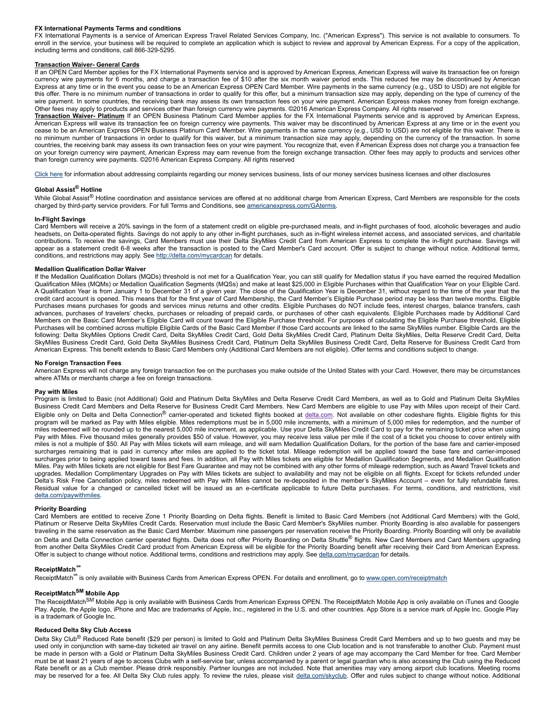# **FX International Payments Terms and conditions**

FX International Payments is a service of American Express Travel Related Services Company, Inc. ("American Express"). This service is not available to consumers. To enroll in the service, your business will be required to complete an application which is subject to review and approval by American Express. For a copy of the application, including terms and conditions, call 866-329-5295.

## **Transaction Waiver General Cards**

If an OPEN Card Member applies for the FX International Payments service and is approved by American Express, American Express will waive its transaction fee on foreign currency wire payments for 6 months, and charge a transaction fee of \$10 after the six month waiver period ends. This reduced fee may be discontinued by American Express at any time or in the event you cease to be an American Express OPEN Card Member. Wire payments in the same currency (e.g., USD to USD) are not eligible for this offer. There is no minimum number of transactions in order to qualify for this offer, but a minimum transaction size may apply, depending on the type of currency of the wire payment. In some countries, the receiving bank may assess its own transaction fees on your wire payment. American Express makes money from foreign exchange. Other fees may apply to products and services other than foreign currency wire payments. ©2016 American Express Company. All rights reserved

**Transaction Waiver Platinum** If an OPEN Business Platinum Card Member applies for the FX International Payments service and is approved by American Express, American Express will waive its transaction fee on foreign currency wire payments. This waiver may be discontinued by American Express at any time or in the event you cease to be an American Express OPEN Business Platinum Card Member. Wire payments in the same currency (e.g., USD to USD) are not eligible for this waiver. There is no minimum number of transactions in order to qualify for this waiver, but a minimum transaction size may apply, depending on the currency of the transaction. In some countries, the receiving bank may assess its own transaction fees on your wire payment. You recognize that, even if American Express does not charge you a transaction fee on your foreign currency wire payment, American Express may earn revenue from the foreign exchange transaction. Other fees may apply to products and services other than foreign currency wire payments. ©2016 American Express Company. All rights reserved

[Click](https://www.americanexpress.com/us/content/prepaid/state-licensing.html?vgnextchannel=95ddb81e8482a110VgnVCM100000defaad94RCRD&appinstancename=default) here for information about addressing complaints regarding our money services business, lists of our money services business licenses and other disclosures

# **Global Assist® Hotline**

While Global Assist<sup>®</sup> Hotline coordination and assistance services are offered at no additional charge from American Express, Card Members are responsible for the costs charged by third-party service providers. For full Terms and Conditions, see [americanexpress.com/GAterms](http://americanexpress.com/GAterms).

## **InFlight Savings**

Card Members will receive a 20% savings in the form of a statement credit on eligible pre-purchased meals, and in-flight purchases of food, alcoholic beverages and audio headsets, on Delta-operated flights. Savings do not apply to any other in-flight purchases, such as in-flight wireless internet access, and associated services, and charitable contributions. To receive the savings, Card Members must use their Delta SkyMiles Credit Card from American Express to complete the inflight purchase. Savings will appear as a statement credit 6-8 weeks after the transaction is posted to the Card Member's Card account. Offer is subject to change without notice. Additional terms, conditions, and restrictions may apply. See <http://delta.com/mycardcan> for details.

#### **Medallion Qualification Dollar Waiver**

If the Medallion Qualification Dollars (MQDs) threshold is not met for a Qualification Year, you can still qualify for Medallion status if you have earned the required Medallion Qualification Miles (MQMs) or Medallion Qualification Segments (MQSs) and make at least \$25,000 in Eligible Purchases within that Qualification Year on your Eligible Card. A Qualification Year is from January 1 to December 31 of a given year. The close of the Qualification Year is December 31, without regard to the time of the year that the credit card account is opened. This means that for the first year of Card Membership, the Card Member's Eligible Purchase period may be less than twelve months. Eligible Purchases means purchases for goods and services minus returns and other credits. Eligible Purchases do NOT include fees, interest charges, balance transfers, cash advances, purchases of travelers' checks, purchases or reloading of prepaid cards, or purchases of other cash equivalents. Eligible Purchases made by Additional Card Members on the Basic Card Member's Eligible Card will count toward the Eligible Purchase threshold. For purposes of calculating the Eligible Purchase threshold, Eligible Purchases will be combined across multiple Eligible Cards of the Basic Card Member if those Card accounts are linked to the same SkyMiles number. Eligible Cards are the following: Delta SkyMiles Options Credit Card, Delta SkyMiles Credit Card, Gold Delta SkyMiles Credit Card, Platinum Delta SkyMiles, Delta Reserve Credit Card, Delta SkyMiles Business Credit Card, Gold Delta SkyMiles Business Credit Card, Platinum Delta SkyMiles Business Credit Card, Delta Reserve for Business Credit Card from American Express. This benefit extends to Basic Card Members only (Additional Card Members are not eligible). Offer terms and conditions subject to change.

#### **No Foreign Transaction Fees**

American Express will not charge any foreign transaction fee on the purchases you make outside of the United States with your Card. However, there may be circumstances where ATMs or merchants charge a fee on foreign transactions.

#### **Pay with Miles**

Program is limited to Basic (not Additional) Gold and Platinum Delta SkyMiles and Delta Reserve Credit Card Members, as well as to Gold and Platinum Delta SkyMiles Business Credit Card Members and Delta Reserve for Business Credit Card Members. New Card Members are eligible to use Pay with Miles upon receipt of their Card. Eligible only on Delta and Delta Connection® carrier-operated and ticketed flights booked at [delta.com.](http://www.delta.com/) Not available on other codeshare flights. Eligible flights for this program will be marked as Pay with Miles eligible. Miles redemptions must be in 5,000 mile increments, with a minimum of 5,000 miles for redemption, and the number of miles redeemed will be rounded up to the nearest 5,000 mile increment, as applicable. Use your Delta SkyMiles Credit Card to pay for the remaining ticket price when using Pay with Miles. Five thousand miles generally provides \$50 of value. However, you may receive less value per mile if the cost of a ticket you choose to cover entirely with miles is not a multiple of \$50. All Pay with Miles tickets will earn mileage, and will earn Medallion Qualification Dollars, for the portion of the base fare and carrierimposed surcharges remaining that is paid in currency after miles are applied to the ticket total. Mileage redemption will be applied toward the base fare and carrier-imposed surcharges prior to being applied toward taxes and fees. In addition, all Pay with Miles tickets are eligible for Medallion Qualification Segments, and Medallion Qualification Miles. Pay with Miles tickets are not eligible for Best Fare Guarantee and may not be combined with any other forms of mileage redemption, such as Award Travel tickets and upgrades. Medallion Complimentary Upgrades on Pay with Miles tickets are subject to availability and may not be eligible on all flights. Except for tickets refunded under Delta's Risk Free Cancellation policy, miles redeemed with Pay with Miles cannot be redeposited in the member's SkyMiles Account – even for fully refundable fares. Residual value for a changed or cancelled ticket will be issued as an e-certificate applicable to future Delta purchases. For terms, conditions, and restrictions, visit [delta.com/paywithmiles](http://www.delta.com/paywithmiles).

#### **Priority Boarding**

Card Members are entitled to receive Zone 1 Priority Boarding on Delta flights. Benefit is limited to Basic Card Members (not Additional Card Members) with the Gold, Platinum or Reserve Delta SkyMiles Credit Cards. Reservation must include the Basic Card Member's SkyMiles number. Priority Boarding is also available for passengers traveling in the same reservation as the Basic Card Member. Maximum nine passengers per reservation receive the Priority Boarding. Priority Boarding will only be available on Delta and Delta Connection carrier operated flights. Delta does not offer Priority Boarding on Delta Shuttle® flights. New Card Members and Card Members upgrading from another Delta SkyMiles Credit Card product from American Express will be eligible for the Priority Boarding benefit after receiving their Card from American Express. Offer is subject to change without notice. Additional terms, conditions and restrictions may apply. See [delta.com/mycardcan](http://www.delta.com/mycardcan) for details.

# **ReceiptMatch℠**

ReceiptMatch<sup>®</sup> is only available with Business Cards from American Express OPEN. For details and enrollment, go to [www.open.com/receiptmatch](http://www.open.com/receiptmatch)

# **ReceiptMatch SM Mobile App**

The ReceiptMatch<sup>SM</sup> Mobile App is only available with Business Cards from American Express OPEN. The ReceiptMatch Mobile App is only available on iTunes and Google Play. Apple, the Apple logo, iPhone and Mac are trademarks of Apple, Inc., registered in the U.S. and other countries. App Store is a service mark of Apple Inc. Google Play is a trademark of Google Inc.

# **Reduced Delta Sky Club Access**

Delta Sky Club<sup>®</sup> Reduced Rate benefit (\$29 per person) is limited to Gold and Platinum Delta SkyMiles Business Credit Card Members and up to two guests and may be used only in conjunction with same-day ticketed air travel on any airline. Benefit permits access to one Club location and is not transferable to another Club. Payment must be made in person with a Gold or Platinum Delta SkyMiles Business Credit Card. Children under 2 years of age may accompany the Card Member for free. Card Member must be at least 21 years of age to access Clubs with a selfservice bar, unless accompanied by a parent or legal guardian who is also accessing the Club using the Reduced Rate benefit or as a Club member. Please drink responsibly. Partner lounges are not included. Note that amenities may vary among airport club locations. Meeting rooms may be reserved for a fee. All Delta Sky Club rules apply. To review the rules, please visit [delta.com/skyclub.](http://www.delta.com/skyclub) Offer and rules subject to change without notice. Additional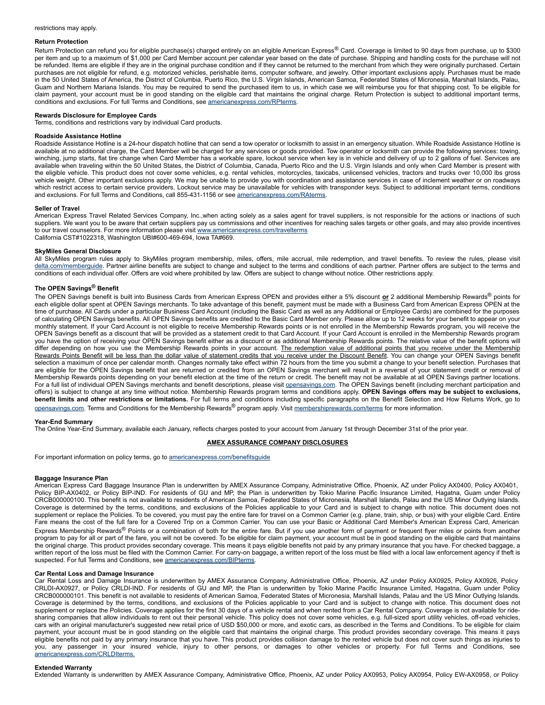### **Return Protection**

Return Protection can refund you for eligible purchase(s) charged entirely on an eligible American Express® Card. Coverage is limited to 90 days from purchase, up to \$300 per item and up to a maximum of \$1,000 per Card Member account per calendar year based on the date of purchase. Shipping and handling costs for the purchase will not be refunded. Items are eligible if they are in the original purchase condition and if they cannot be returned to the merchant from which they were originally purchased. Certain purchases are not eligible for refund, e.g. motorized vehicles, perishable items, computer software, and jewelry. Other important exclusions apply. Purchases must be made in the 50 United States of America, the District of Columbia, Puerto Rico, the U.S. Virgin Islands, American Samoa, Federated States of Micronesia, Marshall Islands, Palau, Guam and Northern Mariana Islands. You may be required to send the purchased item to us, in which case we will reimburse you for that shipping cost. To be eligible for claim payment, your account must be in good standing on the eligible card that maintains the original charge. Return Protection is subject to additional important terms, conditions and exclusions. For full Terms and Conditions, see [americanexpress.com/RPterms](http://www.americanexpress.com/RPterms).

### **Rewards Disclosure for Employee Cards**

Terms, conditions and restrictions vary by individual Card products.

# **Roadside Assistance Hotline**

Roadside Assistance Hotline is a 24hour dispatch hotline that can send a tow operator or locksmith to assist in an emergency situation. While Roadside Assistance Hotline is available at no additional charge, the Card Member will be charged for any services or goods provided. Tow operator or locksmith can provide the following services: towing, winching, jump starts, flat tire change when Card Member has a workable spare, lockout service when key is in vehicle and delivery of up to 2 gallons of fuel. Services are available when traveling within the 50 United States, the District of Columbia, Canada, Puerto Rico and the U.S. Virgin Islands and only when Card Member is present with the eligible vehicle. This product does not cover some vehicles, e.g. rental vehicles, motorcycles, taxicabs, unlicensed vehicles, tractors and trucks over 10,000 lbs gross vehicle weight. Other important exclusions apply. We may be unable to provide you with coordination and assistance services in case of inclement weather or on roadways which restrict access to certain service providers. Lockout service may be unavailable for vehicles with transponder keys. Subject to additional important terms, conditions and exclusions. For full Terms and Conditions, call 855-431-1156 or see [americanexpress.com/RAterms.](http://www.americanexpress.com/RAterms)

# **Seller of Travel**

American Express Travel Related Services Company, Inc.,when acting solely as a sales agent for travel suppliers, is not responsible for the actions or inactions of such suppliers. We want you to be aware that certain suppliers pay us commissions and other incentives for reaching sales targets or other goals, and may also provide incentives to our travel counselors. For more information please visit [www.americanexpress.com/travelterms](http://www.americanexpress.com/travelterms) California CST#1022318, Washington UBI#600-469-694, Iowa TA#669.

#### **SkyMiles General Disclosure**

All SkyMiles program rules apply to SkyMiles program membership, miles, offers, mile accrual, mile redemption, and travel benefits. To review the rules, please visit [delta.com/memberguide](http://www.delta.com/memberguide). Partner airline benefits are subject to change and subject to the terms and conditions of each partner. Partner offers are subject to the terms and conditions of each individual offer. Offers are void where prohibited by law. Offers are subject to change without notice. Other restrictions apply.

# **The OPEN Savings® Benefit**

The OPEN Savings benefit is built into Business Cards from American Express OPEN and provides either a 5% discount **or** 2 additional Membership Rewards® points for each eligible dollar spent at OPEN Savings merchants. To take advantage of this benefit, payment must be made with a Business Card from American Express OPEN at the time of purchase. All Cards under a particular Business Card Account (including the Basic Card as well as any Additional or Employee Cards) are combined for the purposes of calculating OPEN Savings benefits. All OPEN Savings benefits are credited to the Basic Card Member only. Please allow up to 12 weeks for your benefit to appear on your monthly statement. If your Card Account is not eligible to receive Membership Rewards points or is not enrolled in the Membership Rewards program, you will receive the OPEN Savings benefit as a discount that will be provided as a statement credit to that Card Account. If your Card Account is enrolled in the Membership Rewards program you have the option of receiving your OPEN Savings benefit either as a discount or as additional Membership Rewards points. The relative value of the benefit options will differ depending on how you use the Membership Rewards points in your account. The redemption value of additional points that you receive under the Membership Rewards Points Benefit will be less than the dollar value of statement credits that you receive under the Discount Benefit. You can change your OPEN Savings benefit selection a maximum of once per calendar month. Changes normally take effect within 72 hours from the time you submit a change to your benefit selection. Purchases that are eligible for the OPEN Savings benefit that are returned or credited from an OPEN Savings merchant will result in a reversal of your statement credit or removal of Membership Rewards points depending on your benefit election at the time of the return or credit. The benefit may not be available at all OPEN Savings partner locations. For a full list of individual OPEN Savings merchants and benefit descriptions, please visit **opensavings.com**. The OPEN Savings benefit (including merchant participation and offers) is subject to change at any time without notice. Membership Rewards program terms and conditions apply. **OPEN Savings offers may be subject to exclusions, benefit limits and other restrictions or limitations.** For full terms and conditions including specific paragraphs on the Benefit Selection and How Returns Work, go to [opensavings.com](http://www.opensavings.com/). Terms and Conditions for the Membership Rewards® program apply. Visit [membershiprewards.com/terms](http://www.membershiprewards.com/terms) for more information.

#### **YearEnd Summary**

The Online Year-End Summary, available each January, reflects charges posted to your account from January 1st through December 31st of the prior year.

## **AMEX ASSURANCE COMPANY DISCLOSURES**

For important information on policy terms, go to americanexpress.com/benefitsquide

#### **Baggage Insurance Plan**

American Express Card Baggage Insurance Plan is underwritten by AMEX Assurance Company, Administrative Office, Phoenix, AZ under Policy AX0400, Policy AX0401, Policy BIPAX0402, or Policy BIPIND. For residents of GU and MP, the Plan is underwritten by Tokio Marine Pacific Insurance Limited, Hagatna, Guam under Policy CRCB000000100. This benefit is not available to residents of American Samoa, Federated States of Micronesia, Marshall Islands, Palau and the US Minor Outlying Islands. Coverage is determined by the terms, conditions, and exclusions of the Policies applicable to your Card and is subject to change with notice. This document does not supplement or replace the Policies. To be covered, you must pay the entire fare for travel on a Common Carrier (e.g. plane, train, ship, or bus) with your eligible Card. Entire Fare means the cost of the full fare for a Covered Trip on a Common Carrier. You can use your Basic or Additional Card Member's American Express Card, American Express Membership Rewards<sup>®</sup> Points or a combination of both for the entire fare. But if you use another form of payment or frequent flyer miles or points from another program to pay for all or part of the fare, you will not be covered. To be eligible for claim payment, your account must be in good standing on the eligible card that maintains the original charge. This product provides secondary coverage. This means it pays eligible benefits not paid by any primary insurance that you have. For checked baggage, a written report of the loss must be filed with the Common Carrier. For carry-on baggage, a written report of the loss must be filed with a local law enforcement agency if theft is suspected. For full Terms and Conditions, see [americanexpress.com/BIPterms.](http://www.americanexpress.com/BIPterms)

# **Car Rental Loss and Damage Insurance**

Car Rental Loss and Damage Insurance is underwritten by AMEX Assurance Company, Administrative Office, Phoenix, AZ under Policy AX0925, Policy AX0926, Policy CRLDI-AX0927, or Policy CRLDI-IND. For residents of GU and MP, the Plan is underwritten by Tokio Marine Pacific Insurance Limited, Hagatna, Guam under Policy CRCB000000101. This benefit is not available to residents of American Samoa, Federated States of Micronesia, Marshall Islands, Palau and the US Minor Outlying Islands. Coverage is determined by the terms, conditions, and exclusions of the Policies applicable to your Card and is subject to change with notice. This document does not supplement or replace the Policies. Coverage applies for the first 30 days of a vehicle rental and when rented from a Car Rental Company. Coverage is not available for ridesharing companies that allow individuals to rent out their personal vehicle. This policy does not cover some vehicles, e.g. full-sized sport utility vehicles, off-road vehicles, cars with an original manufacturer's suggested new retail price of USD \$50,000 or more, and exotic cars, as described in the Terms and Conditions. To be eligible for claim payment, your account must be in good standing on the eligible card that maintains the original charge. This product provides secondary coverage. This means it pays eligible benefits not paid by any primary insurance that you have. This product provides collision damage to the rented vehicle but does not cover such things as injuries to you, any passenger in your insured vehicle, injury to other persons, or damages to other vehicles or property. For full Terms and Conditions, see [americanexpress.com/CRLDIterms.](http://www.americanexpress.com/CRLDIterms)

#### **Extended Warranty**

Extended Warranty is underwritten by AMEX Assurance Company, Administrative Office, Phoenix, AZ under Policy AX0953, Policy AX0954, Policy EW-AX0958, or Policy